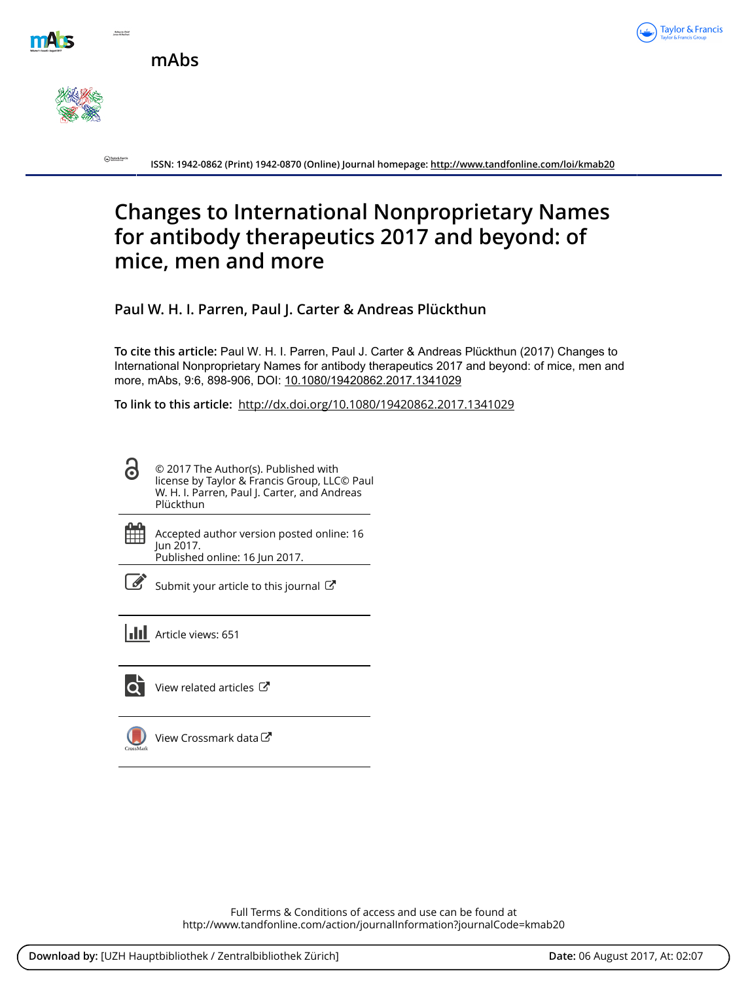

**mAbs**



 $\bigodot$  byte filters

**ISSN: 1942-0862 (Print) 1942-0870 (Online) Journal homepage:<http://www.tandfonline.com/loi/kmab20>**

# **Changes to International Nonproprietary Names for antibody therapeutics 2017 and beyond: of mice, men and more**

**Paul W. H. I. Parren, Paul J. Carter & Andreas Plückthun**

**To cite this article:** Paul W. H. I. Parren, Paul J. Carter & Andreas Plückthun (2017) Changes to International Nonproprietary Names for antibody therapeutics 2017 and beyond: of mice, men and more, mAbs, 9:6, 898-906, DOI: [10.1080/19420862.2017.1341029](http://www.tandfonline.com/action/showCitFormats?doi=10.1080/19420862.2017.1341029)

**To link to this article:** <http://dx.doi.org/10.1080/19420862.2017.1341029>

- ႕ © 2017 The Author(s). Published with license by Taylor & Francis Group, LLC© Paul W. H. I. Parren, Paul J. Carter, and Andreas Plückthun
- 雦

Accepted author version posted online: 16 Jun 2017. Published online: 16 Jun 2017.



 $\mathscr S$  [Submit your article to this journal](http://www.tandfonline.com/action/authorSubmission?journalCode=kmab20&show=instructions)  $G$ 

**III** Article views: 651



[View related articles](http://www.tandfonline.com/doi/mlt/10.1080/19420862.2017.1341029) C



[View Crossmark data](http://crossmark.crossref.org/dialog/?doi=10.1080/19420862.2017.1341029&domain=pdf&date_stamp=2017-06-16)<sup>C</sup>

Full Terms & Conditions of access and use can be found at <http://www.tandfonline.com/action/journalInformation?journalCode=kmab20>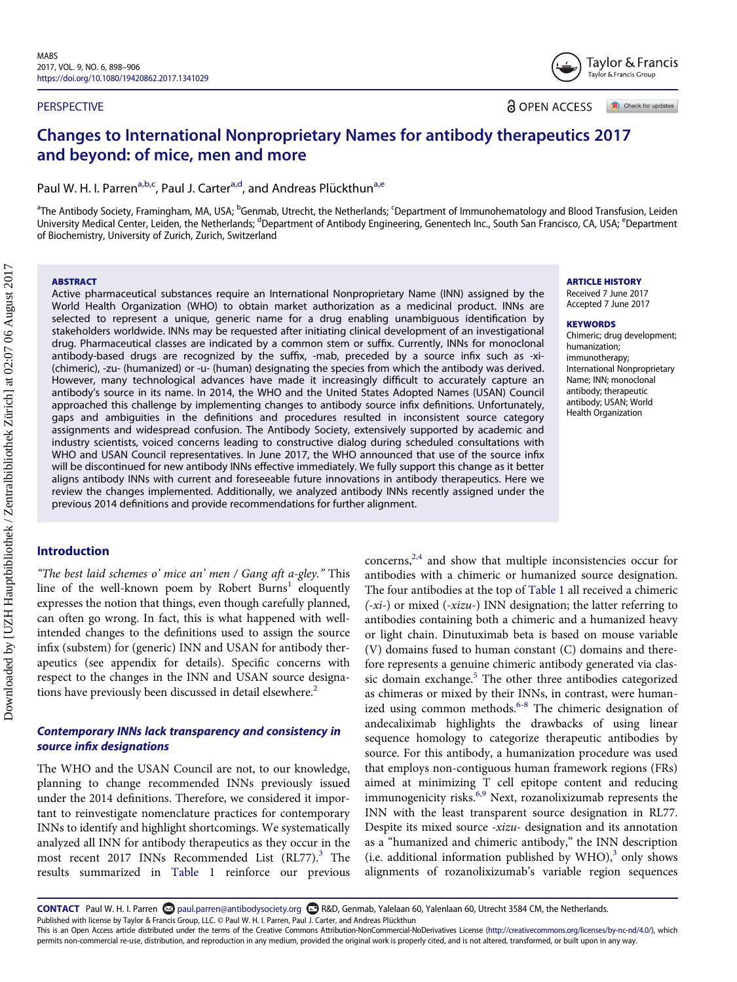#### **PERSPECTIVE**

**a** OPEN ACCESS

Check for updates

Taylor & Francis Taylor & Francis Group

# Changes to International Nonproprietary Names for antibody therapeutics 2017 and beyond: of mice, men and more

P[a](#page-1-0)ul W. H. I. Parren<sup>a,b,c</sup>, Paul J. Carter<sup>a[,d](#page-1-1)</sup>, and Andreas Plückthun<sup>a[,e](#page-1-1)</sup>

<sup>a</sup>The Antibody Society, Framingham, MA, USA; <sup>b</sup>Genmab, Utrecht, the Netherlands; <sup>c</sup>Department of Immunohematology and Blood Transfusion, Leiden University Medical Center, Leiden, the Netherlands; <sup>d</sup>Department of Antibody Engineering, Genentech Inc., South San Francisco, CA, USA; <sup>e</sup>Department of Biochemistry, University of Zurich, Zurich, Switzerland

#### ABSTRACT

Active pharmaceutical substances require an International Nonproprietary Name (INN) assigned by the World Health Organization (WHO) to obtain market authorization as a medicinal product. INNs are selected to represent a unique, generic name for a drug enabling unambiguous identification by stakeholders worldwide. INNs may be requested after initiating clinical development of an investigational drug. Pharmaceutical classes are indicated by a common stem or suffix. Currently, INNs for monoclonal antibody-based drugs are recognized by the suffix, -mab, preceded by a source infix such as -xi- (chimeric), -zu- (humanized) or -u- (human) designating the species from which the antibody was derived. However, many technological advances have made it increasingly difficult to accurately capture an antibody's source in its name. In 2014, the WHO and the United States Adopted Names (USAN) Council approached this challenge by implementing changes to antibody source infix definitions. Unfortunately, gaps and ambiguities in the definitions and procedures resulted in inconsistent source category assignments and widespread confusion. The Antibody Society, extensively supported by academic and industry scientists, voiced concerns leading to constructive dialog during scheduled consultations with WHO and USAN Council representatives. In June 2017, the WHO announced that use of the source infix will be discontinued for new antibody INNs effective immediately. We fully support this change as it better aligns antibody INNs with current and foreseeable future innovations in antibody therapeutics. Here we review the changes implemented. Additionally, we analyzed antibody INNs recently assigned under the previous 2014 definitions and provide recommendations for further alignment.

# Introduction

"The best laid schemes o' mice an' men / Gang aft a-gley." This line of the well-known poem by Robert Burns<sup>[1](#page-6-0)</sup> eloquently expresses the notion that things, even though carefully planned, can often go wrong. In fact, this is what happened with wellintended changes to the definitions used to assign the source infix (substem) for (generic) INN and USAN for antibody therapeutics (see appendix for details). Specific concerns with respect to the changes in the INN and USAN source designa-tions have previously been discussed in detail elsewhere.<sup>[2](#page-6-1)</sup>

# Contemporary INNs lack transparency and consistency in source infix designations

The WHO and the USAN Council are not, to our knowledge, planning to change recommended INNs previously issued under the 2014 definitions. Therefore, we considered it important to reinvestigate nomenclature practices for contemporary INNs to identify and highlight shortcomings. We systematically analyzed all INN for antibody therapeutics as they occur in the most recent 2017 INNs Recommended List  $(RL77)<sup>3</sup>$  $(RL77)<sup>3</sup>$  $(RL77)<sup>3</sup>$  The results summarized in [Table 1](#page-2-0) reinforce our previous

 $concerns<sub>1</sub><sup>2,4</sup>$  $concerns<sub>1</sub><sup>2,4</sup>$  $concerns<sub>1</sub><sup>2,4</sup>$  and show that multiple inconsistencies occur for antibodies with a chimeric or humanized source designation. The four antibodies at the top of [Table 1](#page-2-0) all received a chimeric  $(-xi)$  or mixed  $(-xizu)$  INN designation; the latter referring to antibodies containing both a chimeric and a humanized heavy or light chain. Dinutuximab beta is based on mouse variable (V) domains fused to human constant (C) domains and therefore represents a genuine chimeric antibody generated via clas-sic domain exchange.<sup>[5](#page-6-3)</sup> The other three antibodies categorized as chimeras or mixed by their INNs, in contrast, were humanized using common methods. $6-8$  The chimeric designation of andecaliximab highlights the drawbacks of using linear sequence homology to categorize therapeutic antibodies by source. For this antibody, a humanization procedure was used that employs non-contiguous human framework regions (FRs) aimed at minimizing T cell epitope content and reducing immunogenicity risks.<sup>6,9</sup> Next, rozanolixizumab represents the INN with the least transparent source designation in RL77. Despite its mixed source -xizu- designation and its annotation as a "humanized and chimeric antibody," the INN description (i.e. additional information published by  $WHO$ ),<sup>[3](#page-6-2)</sup> only shows alignments of rozanolixizumab's variable region sequences

<span id="page-1-1"></span><span id="page-1-0"></span>Downloaded by [UZH Hauptbibliothek / Zentralbibliothek Zürich] at 02:07 06 August 2017 Downloaded by [UZH Hauptbibliothek / Zentralbibliothek Zürich] at 02:07 06 August 2017

#### ARTICLE HISTORY

Received 7 June 2017 Accepted 7 June 2017

#### **KEYWORDS**

Chimeric; drug development; humanization; immunotherapy; International Nonproprietary Name; INN; monoclonal antibody; therapeutic antibody; USAN; World Health Organization

permits non-commercial re-use, distribution, and reproduction in any medium, provided the original work is properly cited, and is not altered, transformed, or built upon in any way.

CONTACT Paul W. H. I. Parren [paul.parren@antibodysociety.org](mailto:paul.parren@antibodysociety.org) R&D, Genmab, Yalelaan 60, Yalenlaan 60, Utrecht 3584 CM, the Netherlands. Published with license by Taylor & Francis Group, LLC. © Paul W. H. I. Parren, Paul J. Carter, and Andreas Plückthun This is an Open Access article distributed under the terms of the Creative Commons Attribution-NonCommercial-NoDerivatives License [\(http://creativecommons.org/licenses/by-nc-nd/4.0/\)](http://creativecommons.org/licenses/by-nc-nd/4.0/), which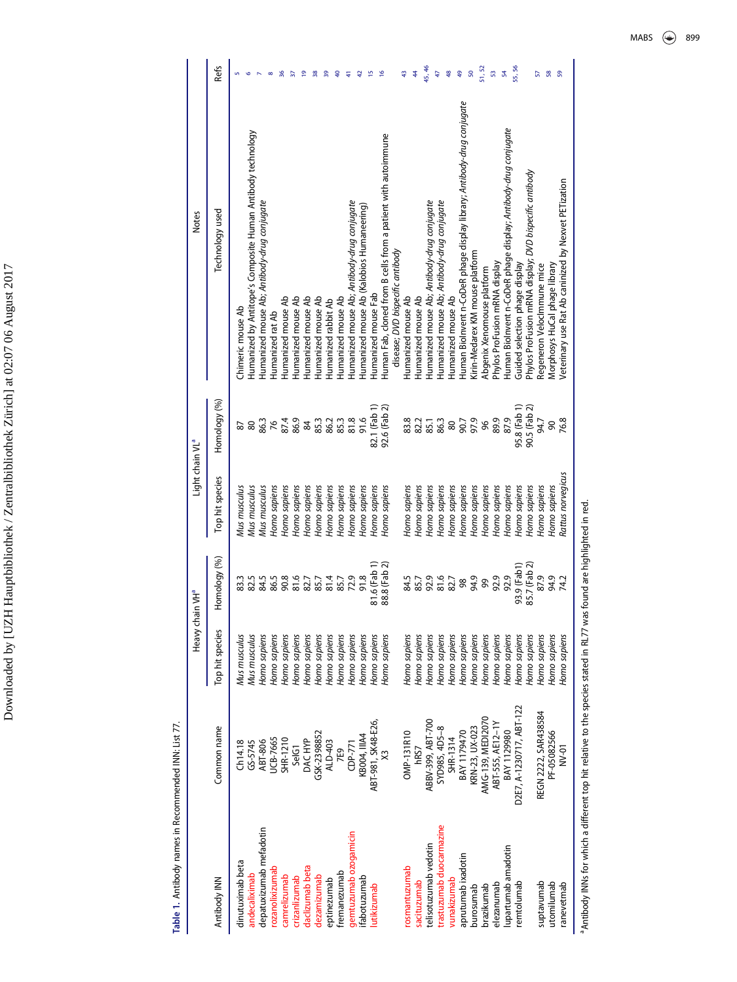Table 1. Antibody names in Recommended INN: List 77. Table 1. Antibody names in Recommended INN: List 77.

<span id="page-2-1"></span><span id="page-2-0"></span>

|                             | Refs            | $\frac{8}{3}$                                                                                                                                                             | $\overline{e}$<br>38<br>57<br>$\frac{9}{2}$<br>9<br>Ę                                                              | $\frac{6}{2}$<br>$\frac{2}{3}$                                                                                                                                                                                       | 45, 46<br>48<br>49<br>43<br>44<br>47                                                                                                                         | 55, 56<br>51, 52<br>50<br>54<br>53                                                                                                                                                                                                         | 58<br>59<br>57                                                                                                                                                                                                  |
|-----------------------------|-----------------|---------------------------------------------------------------------------------------------------------------------------------------------------------------------------|--------------------------------------------------------------------------------------------------------------------|----------------------------------------------------------------------------------------------------------------------------------------------------------------------------------------------------------------------|--------------------------------------------------------------------------------------------------------------------------------------------------------------|--------------------------------------------------------------------------------------------------------------------------------------------------------------------------------------------------------------------------------------------|-----------------------------------------------------------------------------------------------------------------------------------------------------------------------------------------------------------------|
| <b>Notes</b>                | Technology used | Humanized by Antitope's Composite Human Antibody technology<br>Humanized mouse Ab; Antibody-drug conjugate<br>Humanized mouse Ab<br>Thimeric mouse Ab<br>Humanized rat Ab | Humanized mouse Ab<br>Humanized mouse Ab<br>Humanized mouse Ab<br>Humanized mouse Ab<br><b>Humanized rabbit Ab</b> | Human Fab, cloned from B cells from a patient with autoimmune<br>Humanized mouse Ab; Antibody-drug conjugate<br>Humanized mouse Ab (Kalobios Humaneering)<br>disease; DVD bispecific antibody<br>Humanized mouse Fab | Humanized mouse Ab; Antibody-drug conjugate<br>Humanized mouse Ab; Antibody-drug conjugate<br>Humanized mouse Ab<br>Humanized mouse Ab<br>Humanized mouse Ab | Human Biolnvent n-CoDeR phage display library; Antibody-drug conjugate<br>Human Biolnvent n-CoDeR phage display; Antibody-drug conjugate<br>Kirin-Medarex KM mouse platform<br>Phylos ProFusion mRNA display<br>Abgenix Xenomouse platform | Phylos ProFusion mRNA display; DVD bispecific antibody<br>/eterinary use Rat Ab caninized by Nexvet PETization<br>Morphosys HuCal phage library<br>Guided selection phage display<br>Regeneron Velocimmune mice |
| Light chain VL <sup>a</sup> | Homology (%)    | 87.4<br>86.3<br>76<br>82                                                                                                                                                  | 86.9<br>85.3<br>86.2<br>85.3<br>$\approx$                                                                          | 82.1 (Fab 1)<br>92.6 (Fab 2)<br>91.6<br>81.8                                                                                                                                                                         | 83.8<br>86.3<br>82.2<br>85.1<br>$80\,$                                                                                                                       | 89.9<br>87.9<br>97.9<br>90.7<br>96                                                                                                                                                                                                         | 95.8 (Fab 1)<br>90.5 (Fab 2)<br>76.8<br>94.7<br>90                                                                                                                                                              |
|                             | Top hit species | Mus musculus<br>Mus musculus<br>Homo sapiens<br>Homo sapiens<br>Mus musculus                                                                                              | Homo sapiens<br>Homo sapiens<br>Homo sapiens<br>Homo sapiens<br>Homo sapiens                                       | Homo sapiens<br>Homo sapiens<br>Homo sapiens<br>Homo sapiens                                                                                                                                                         | Homo sapiens<br>Homo sapiens<br>Homo sapiens<br>Homo sapiens<br>Homo sapiens                                                                                 | Homo sapiens<br>Homo sapiens<br>Homo sapiens<br>Homo sapiens<br>Homo sapiens                                                                                                                                                               | Rattus norvegicus<br>Homo sapiens<br>Homo sapiens<br>Homo sapiens<br>Homo sapiens                                                                                                                               |
| Heavy chain VH <sup>ª</sup> | Homology (%)    | 86.5<br>82.5<br>84.5<br>90.8<br>83.3                                                                                                                                      | 81.6<br>82.7<br>85.7<br>81.4<br>85.7                                                                               | 81.6 (Fab 1)<br>88.8 (Fab 2)<br>72.9<br>91.8                                                                                                                                                                         | 92.9<br>81.6<br>82.7<br>84.5<br>85.7                                                                                                                         | 92.9<br>92.9<br>94.9<br>99<br>$86\,$                                                                                                                                                                                                       | 85.7 (Fab 2)<br>93.9 (Fab1)<br>94.9<br>87.9<br>74.2                                                                                                                                                             |
|                             | Top hit species | Mus musculus<br>Homo sapiens<br>Mus musculus<br>Homo sapiens<br>Homo sapiens                                                                                              | Homo sapiens<br>Homo sapiens<br>Homo sapiens<br>Homo sapiens<br>Homo sapiens                                       | Homo sapiens<br>Homo sapiens<br>Homo sapiens<br>Homo sapiens                                                                                                                                                         | Homo sapiens<br>Homo sapiens<br>Homo sapiens<br>Homo sapiens<br>Homo sapiens                                                                                 | Homo sapiens<br>Homo sapiens<br>Homo sapiens<br>Homo sapiens<br>Homo sapiens                                                                                                                                                               | Homo sapiens<br>Homo sapiens<br>Homo sapiens<br>Homo sapiens<br>Homo sapiens                                                                                                                                    |
|                             | Common name     | SHR-1210<br>UCB-7665<br>ABT-806<br>GS-5745<br>Ch14.18                                                                                                                     | GSK-2398852<br>DAC HYP<br>ALD-403<br>SelG1<br><b>7E9</b>                                                           | ABT-981, SK48-E26,<br>KB004, IIIA4<br>$CP-771$                                                                                                                                                                       | ABBV-399, ABT-700<br>SYD985, 4D5-8<br><b>OMP-131R10</b><br>SHR-1314<br>hRS7                                                                                  | AMG-139, MEDI2070<br>ABT-555, AE12-1Y<br>KRN-23, UX-023<br>BAY 1129980<br>BAY 1179470                                                                                                                                                      | D2E7, A-1230717, ABT-122<br>REGN 2222, SAR438584<br>PF-05082566<br>$NV-01$                                                                                                                                      |
|                             | Antibody INN    | depatuxizumab mefadotin<br>dinutuximab beta<br>rozanolixizumab<br>andecaliximab<br>camrelizumab                                                                           | daclizumab beta<br>fremanezumab<br>dezamizumab<br>crizanlizumab<br>eptinezumab                                     | gemtuzumab ozogamicin<br>fabotuzumab<br>utikizumab                                                                                                                                                                   | trastuzumab duocarmazine<br>telisotuzumab vedotin<br><b>osmantuzumab</b><br>vunakizumab<br>sacituzumab                                                       | lupartumab amadotin<br>aprutumab ixadotin<br>elezanumab<br>brazikumab<br>burosumab                                                                                                                                                         | suptavumab<br>utomilumab<br>remtolumab<br>ranevetmab                                                                                                                                                            |

<sup>a</sup> Antibody INNs for which a different top hit relative to the species stated in RL77 was found are highlighted in red. aAntibody INNs for which a different top hit relative to the species stated in RL77 was found are highlighted in red.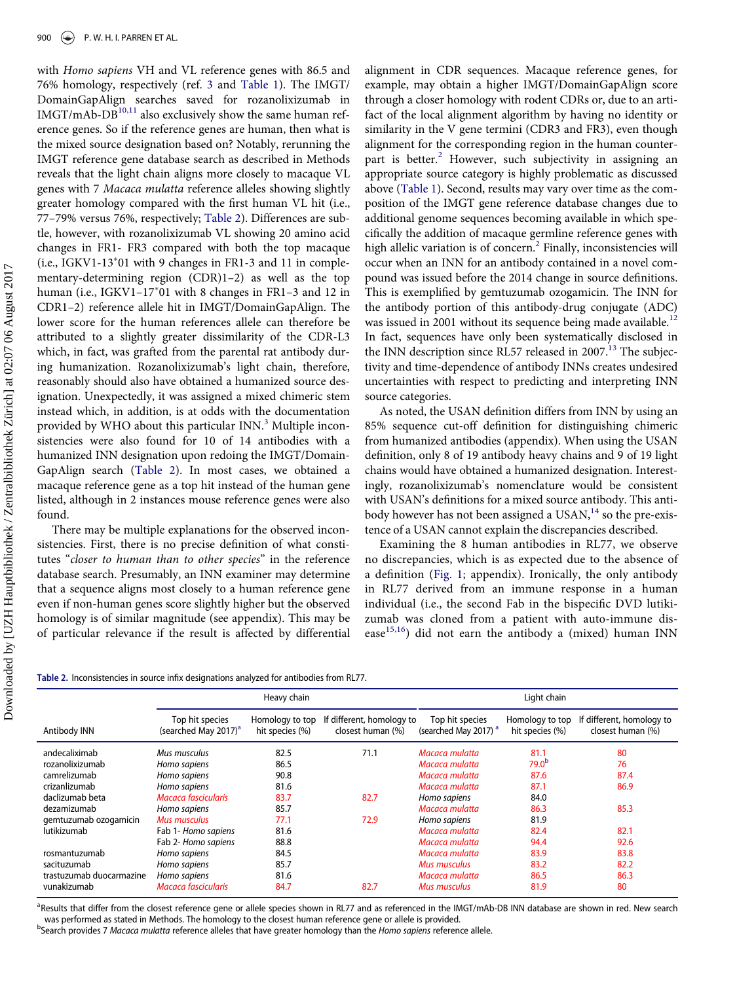with Homo sapiens VH and VL reference genes with 86.5 and 76% homology, respectively (ref. [3](#page-6-2) and [Table 1\)](#page-2-0). The IMGT/ DomainGapAlign searches saved for rozanolixizumab in  $IMGT/mAb-DB<sup>10,11</sup>$  $IMGT/mAb-DB<sup>10,11</sup>$  $IMGT/mAb-DB<sup>10,11</sup>$  also exclusively show the same human reference genes. So if the reference genes are human, then what is the mixed source designation based on? Notably, rerunning the IMGT reference gene database search as described in Methods reveals that the light chain aligns more closely to macaque VL genes with 7 Macaca mulatta reference alleles showing slightly greater homology compared with the first human VL hit (i.e., 77–79% versus 76%, respectively; [Table 2](#page-3-0)). Differences are subtle, however, with rozanolixizumab VL showing 20 amino acid changes in FR1- FR3 compared with both the top macaque (i.e., IGKV1-13 01 with 9 changes in FR1-3 and 11 in complementary-determining region (CDR)1–2) as well as the top human (i.e., IGKV1–17 01 with 8 changes in FR1–3 and 12 in CDR1–2) reference allele hit in IMGT/DomainGapAlign. The lower score for the human references allele can therefore be attributed to a slightly greater dissimilarity of the CDR-L3 which, in fact, was grafted from the parental rat antibody during humanization. Rozanolixizumab's light chain, therefore, reasonably should also have obtained a humanized source designation. Unexpectedly, it was assigned a mixed chimeric stem instead which, in addition, is at odds with the documentation provided by WHO about this particular INN.<sup>[3](#page-6-2)</sup> Multiple inconsistencies were also found for 10 of 14 antibodies with a humanized INN designation upon redoing the IMGT/Domain-GapAlign search ([Table 2](#page-3-0)). In most cases, we obtained a macaque reference gene as a top hit instead of the human gene listed, although in 2 instances mouse reference genes were also found.

There may be multiple explanations for the observed inconsistencies. First, there is no precise definition of what constitutes "closer to human than to other species" in the reference database search. Presumably, an INN examiner may determine that a sequence aligns most closely to a human reference gene even if non-human genes score slightly higher but the observed homology is of similar magnitude (see appendix). This may be of particular relevance if the result is affected by differential alignment in CDR sequences. Macaque reference genes, for example, may obtain a higher IMGT/DomainGapAlign score through a closer homology with rodent CDRs or, due to an artifact of the local alignment algorithm by having no identity or similarity in the V gene termini (CDR3 and FR3), even though alignment for the corresponding region in the human counter-part is better.<sup>[2](#page-6-1)</sup> However, such subjectivity in assigning an appropriate source category is highly problematic as discussed above ([Table 1](#page-2-0)). Second, results may vary over time as the composition of the IMGT gene reference database changes due to additional genome sequences becoming available in which specifically the addition of macaque germline reference genes with high allelic variation is of concern.<sup>[2](#page-6-1)</sup> Finally, inconsistencies will occur when an INN for an antibody contained in a novel compound was issued before the 2014 change in source definitions. This is exemplified by gemtuzumab ozogamicin. The INN for the antibody portion of this antibody-drug conjugate (ADC) was issued in 2001 without its sequence being made available.<sup>[12](#page-7-14)</sup> In fact, sequences have only been systematically disclosed in the INN description since RL57 released in 2007.<sup>[13](#page-7-15)</sup> The subjectivity and time-dependence of antibody INNs creates undesired uncertainties with respect to predicting and interpreting INN source categories.

As noted, the USAN definition differs from INN by using an 85% sequence cut-off definition for distinguishing chimeric from humanized antibodies (appendix). When using the USAN definition, only 8 of 19 antibody heavy chains and 9 of 19 light chains would have obtained a humanized designation. Interestingly, rozanolixizumab's nomenclature would be consistent with USAN's definitions for a mixed source antibody. This antibody however has not been assigned a  $USAN$ ,<sup>[14](#page-7-16)</sup> so the pre-existence of a USAN cannot explain the discrepancies described.

Examining the 8 human antibodies in RL77, we observe no discrepancies, which is as expected due to the absence of a definition [\(Fig. 1](#page-4-0); appendix). Ironically, the only antibody in RL77 derived from an immune response in a human individual (i.e., the second Fab in the bispecific DVD lutikizumab was cloned from a patient with auto-immune disease $^{15,16}$ ) did not earn the antibody a (mixed) human INN

```
Table 2. Inconsistencies in source infix designations analyzed for antibodies from RL77.
```

|                          |                                                     | Heavy chain                        |                                                | Light chain                                         |                                    |                                                |
|--------------------------|-----------------------------------------------------|------------------------------------|------------------------------------------------|-----------------------------------------------------|------------------------------------|------------------------------------------------|
| Antibody INN             | Top hit species<br>(searched May 2017) <sup>a</sup> | Homology to top<br>hit species (%) | If different, homology to<br>closest human (%) | Top hit species<br>(searched May 2017) <sup>a</sup> | Homology to top<br>hit species (%) | If different, homology to<br>closest human (%) |
| andecaliximab            | Mus musculus                                        | 82.5                               | 71.1                                           | Macaca mulatta                                      | 81.1                               | 80                                             |
| rozanolixizumab          | Homo sapiens                                        | 86.5                               |                                                | Macaca mulatta                                      | 79.0 <sup>b</sup>                  | 76                                             |
| camrelizumab             | Homo sapiens                                        | 90.8                               |                                                | Macaca mulatta                                      | 87.6                               | 87.4                                           |
| crizanlizumab            | Homo sapiens                                        | 81.6                               |                                                | Macaca mulatta                                      | 87.1                               | 86.9                                           |
| daclizumab beta          | Macaca fascicularis                                 | 83.7                               | 82.7                                           | Homo sapiens                                        | 84.0                               |                                                |
| dezamizumab              | Homo sapiens                                        | 85.7                               |                                                | Macaca mulatta                                      | 86.3                               | 85.3                                           |
| gemtuzumab ozogamicin    | Mus musculus                                        | 77.1                               | 72.9                                           | Homo sapiens                                        | 81.9                               |                                                |
| lutikizumab              | Fab 1- Homo sapiens                                 | 81.6                               |                                                | Macaca mulatta                                      | 82.4                               | 82.1                                           |
|                          | Fab 2- Homo sapiens                                 | 88.8                               |                                                | Macaca mulatta                                      | 94.4                               | 92.6                                           |
| rosmantuzumab            | Homo sapiens                                        | 84.5                               |                                                | Macaca mulatta                                      | 83.9                               | 83.8                                           |
| sacituzumab              | Homo sapiens                                        | 85.7                               |                                                | Mus musculus                                        | 83.2                               | 82.2                                           |
| trastuzumab duocarmazine | Homo sapiens                                        | 81.6                               |                                                | Macaca mulatta                                      | 86.5                               | 86.3                                           |
| vunakizumab              | Macaca fascicularis                                 | 84.7                               | 82.7                                           | Mus musculus                                        | 81.9                               | 80                                             |

<span id="page-3-1"></span><sup>a</sup> Results that differ from the closest reference gene or allele species shown in RL77 and as referenced in the IMGT/mAb-DB INN database are shown in red. New search was performed as stated in Methods. The homology to the closest human reference gene or allele is provided.

<span id="page-3-2"></span>bSearch provides 7 Macaca mulatta reference alleles that have greater homology than the Homo sapiens reference allele.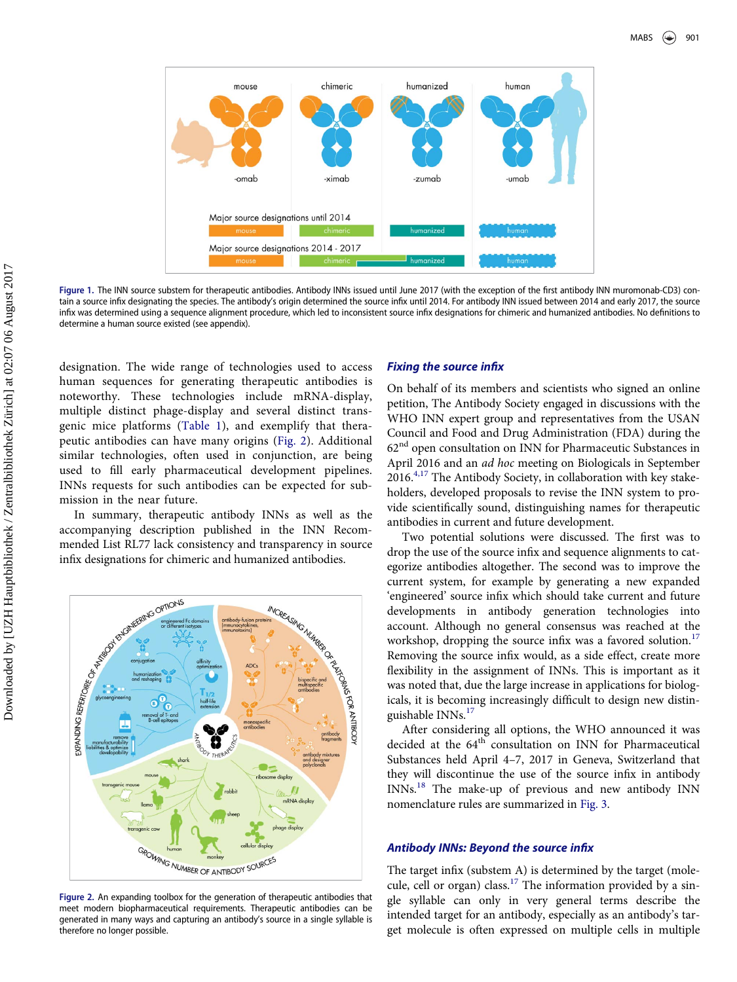<span id="page-4-0"></span>

Figure 1. The INN source substem for therapeutic antibodies. Antibody INNs issued until June 2017 (with the exception of the first antibody INN muromonab-CD3) contain a source infix designating the species. The antibody's origin determined the source infix until 2014. For antibody INN issued between 2014 and early 2017, the source infix was determined using a sequence alignment procedure, which led to inconsistent source infix designations for chimeric and humanized antibodies. No definitions to determine a human source existed (see appendix).

designation. The wide range of technologies used to access human sequences for generating therapeutic antibodies is noteworthy. These technologies include mRNA-display, multiple distinct phage-display and several distinct transgenic mice platforms [\(Table 1\)](#page-2-0), and exemplify that therapeutic antibodies can have many origins ([Fig. 2](#page-4-1)). Additional similar technologies, often used in conjunction, are being used to fill early pharmaceutical development pipelines. INNs requests for such antibodies can be expected for submission in the near future.

In summary, therapeutic antibody INNs as well as the accompanying description published in the INN Recominfix designations for chimeric and humanized antibodies.

<span id="page-4-1"></span>

Figure 2. An expanding toolbox for the generation of therapeutic antibodies that meet modern biopharmaceutical requirements. Therapeutic antibodies can be generated in many ways and capturing an antibody's source in a single syllable is therefore no longer possible.

#### Fixing the source infix

On behalf of its members and scientists who signed an online petition, The Antibody Society engaged in discussions with the WHO INN expert group and representatives from the USAN Council and Food and Drug Administration (FDA) during the  $62<sup>nd</sup>$  open consultation on INN for Pharmaceutic Substances in April 2016 and an ad hoc meeting on Biologicals in September 2016.[4,17](#page-6-8) The Antibody Society, in collaboration with key stakeholders, developed proposals to revise the INN system to provide scientifically sound, distinguishing names for therapeutic antibodies in current and future development.

Two potential solutions were discussed. The first was to drop the use of the source infix and sequence alignments to categorize antibodies altogether. The second was to improve the current system, for example by generating a new expanded 'engineered' source infix which should take current and future developments in antibody generation technologies into account. Although no general consensus was reached at the workshop, dropping the source infix was a favored solution.<sup>[17](#page-7-17)</sup> Removing the source infix would, as a side effect, create more flexibility in the assignment of INNs. This is important as it was noted that, due the large increase in applications for biologicals, it is becoming increasingly difficult to design new distinguishable INNs.[17](#page-7-17)

After considering all options, the WHO announced it was decided at the 64<sup>th</sup> consultation on INN for Pharmaceutical Substances held April 4–7, 2017 in Geneva, Switzerland that they will discontinue the use of the source infix in antibody INNs.[18](#page-7-18) The make-up of previous and new antibody INN nomenclature rules are summarized in [Fig. 3](#page-5-0).

#### Antibody INNs: Beyond the source infix

The target infix (substem A) is determined by the target (mole-cule, cell or organ) class.<sup>[17](#page-7-17)</sup> The information provided by a single syllable can only in very general terms describe the intended target for an antibody, especially as an antibody's target molecule is often expressed on multiple cells in multiple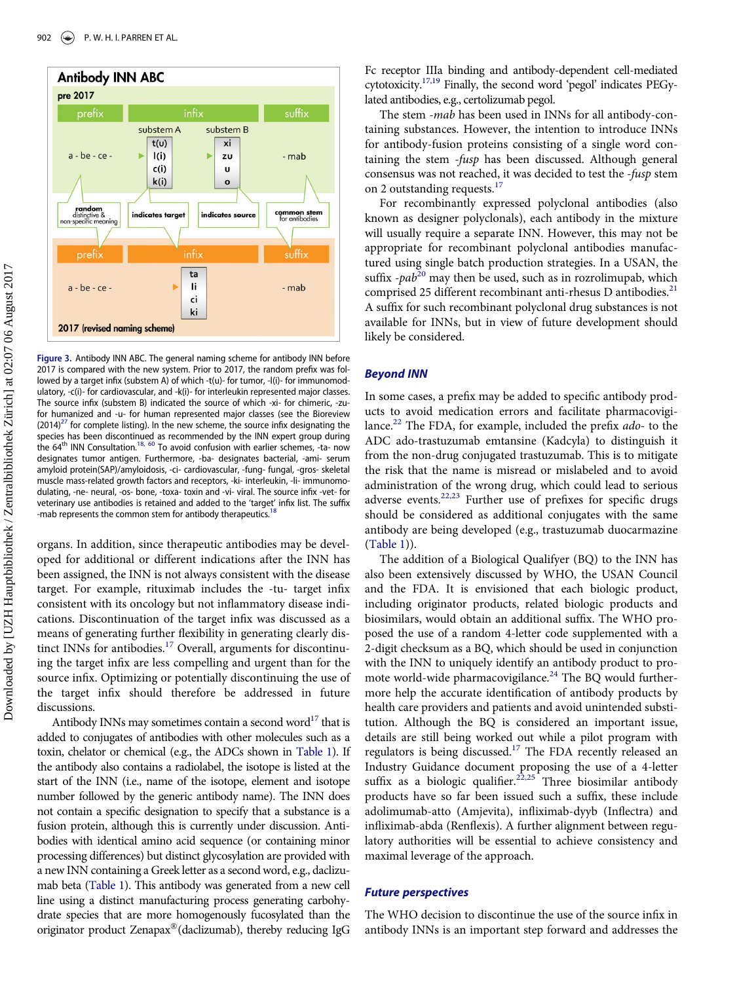<span id="page-5-0"></span>

Figure 3. Antibody INN ABC. The general naming scheme for antibody INN before 2017 is compared with the new system. Prior to 2017, the random prefix was followed by a target infix (substem A) of which -t(u)- for tumor, -l(i)- for immunomodulatory, -c(i)- for cardiovascular, and -k(i)- for interleukin represented major classes. The source infix (substem B) indicated the source of which -xi- for chimeric, -zufor humanized and -u- for human represented major classes (see the Bioreview  $(2014)^{27}$  for complete listing). In the new scheme, the source infix designating the species has been discontinued as recommended by the INN expert group during<br>the 64<sup>th</sup> INN Consultation.<sup>[18, 60](#page-7-18)</sup> To avoid confusion with earlier schemes, -ta- now designates tumor antigen. Furthermore, -ba- designates bacterial, -ami- serum amyloid protein(SAP)/amyloidosis, -ci- cardiovascular, -fung- fungal, -gros- skeletal muscle mass-related growth factors and receptors, -ki- interleukin, -li- immunomodulating, -ne- neural, -os- bone, -toxa- toxin and -vi- viral. The source infix -vet- for veterinary use antibodies is retained and added to the 'target' infix list. The suffix -mab represents the common stem for antibody therapeutics.<sup>[18](#page-7-18)</sup>

organs. In addition, since therapeutic antibodies may be developed for additional or different indications after the INN has been assigned, the INN is not always consistent with the disease target. For example, rituximab includes the -tu- target infix consistent with its oncology but not inflammatory disease indications. Discontinuation of the target infix was discussed as a means of generating further flexibility in generating clearly dis-tinct INNs for antibodies.<sup>[17](#page-7-17)</sup> Overall, arguments for discontinuing the target infix are less compelling and urgent than for the source infix. Optimizing or potentially discontinuing the use of the target infix should therefore be addressed in future discussions.

Antibody INNs may sometimes contain a second word $^{17}$  that is added to conjugates of antibodies with other molecules such as a toxin, chelator or chemical (e.g., the ADCs shown in [Table 1\)](#page-2-0). If the antibody also contains a radiolabel, the isotope is listed at the start of the INN (i.e., name of the isotope, element and isotope number followed by the generic antibody name). The INN does not contain a specific designation to specify that a substance is a fusion protein, although this is currently under discussion. Antibodies with identical amino acid sequence (or containing minor processing differences) but distinct glycosylation are provided with a new INN containing a Greek letter as a second word, e.g., daclizumab beta ([Table 1](#page-2-0)). This antibody was generated from a new cell line using a distinct manufacturing process generating carbohydrate species that are more homogenously fucosylated than the originator product Zenapax®(daclizumab), thereby reducing IgG Fc receptor IIIa binding and antibody-dependent cell-mediated cytotoxicity[.17,19](#page-7-17) Finally, the second word 'pegol' indicates PEGylated antibodies, e.g., certolizumab pegol.

The stem -mab has been used in INNs for all antibody-containing substances. However, the intention to introduce INNs for antibody-fusion proteins consisting of a single word containing the stem -fusp has been discussed. Although general consensus was not reached, it was decided to test the -fusp stem on 2 outstanding requests.<sup>[17](#page-7-17)</sup>

For recombinantly expressed polyclonal antibodies (also known as designer polyclonals), each antibody in the mixture will usually require a separate INN. However, this may not be appropriate for recombinant polyclonal antibodies manufactured using single batch production strategies. In a USAN, the suffix  $-pab^{20}$  $-pab^{20}$  $-pab^{20}$  may then be used, such as in rozrolimupab, which comprised 25 different recombinant anti-rhesus D antibodies.<sup>[21](#page-7-20)</sup> A suffix for such recombinant polyclonal drug substances is not available for INNs, but in view of future development should likely be considered.

#### Beyond INN

In some cases, a prefix may be added to specific antibody products to avoid medication errors and facilitate pharmacovigi-lance.<sup>[22](#page-7-21)</sup> The FDA, for example, included the prefix ado- to the ADC ado-trastuzumab emtansine (Kadcyla) to distinguish it from the non-drug conjugated trastuzumab. This is to mitigate the risk that the name is misread or mislabeled and to avoid administration of the wrong drug, which could lead to serious adverse events.<sup>[22,23](#page-7-21)</sup> Further use of prefixes for specific drugs should be considered as additional conjugates with the same antibody are being developed (e.g., trastuzumab duocarmazine [\(Table 1\)](#page-2-0)).

The addition of a Biological Qualifyer (BQ) to the INN has also been extensively discussed by WHO, the USAN Council and the FDA. It is envisioned that each biologic product, including originator products, related biologic products and biosimilars, would obtain an additional suffix. The WHO proposed the use of a random 4-letter code supplemented with a 2-digit checksum as a BQ, which should be used in conjunction with the INN to uniquely identify an antibody product to promote world-wide pharmacovigilance. $24$  The BQ would furthermore help the accurate identification of antibody products by health care providers and patients and avoid unintended substitution. Although the BQ is considered an important issue, details are still being worked out while a pilot program with regulators is being discussed.<sup>[17](#page-7-17)</sup> The FDA recently released an Industry Guidance document proposing the use of a 4-letter suffix as a biologic qualifier.<sup>[22,25](#page-7-21)</sup> Three biosimilar antibody products have so far been issued such a suffix, these include adolimumab-atto (Amjevita), infliximab-dyyb (Inflectra) and infliximab-abda (Renflexis). A further alignment between regulatory authorities will be essential to achieve consistency and maximal leverage of the approach.

#### Future perspectives

The WHO decision to discontinue the use of the source infix in antibody INNs is an important step forward and addresses the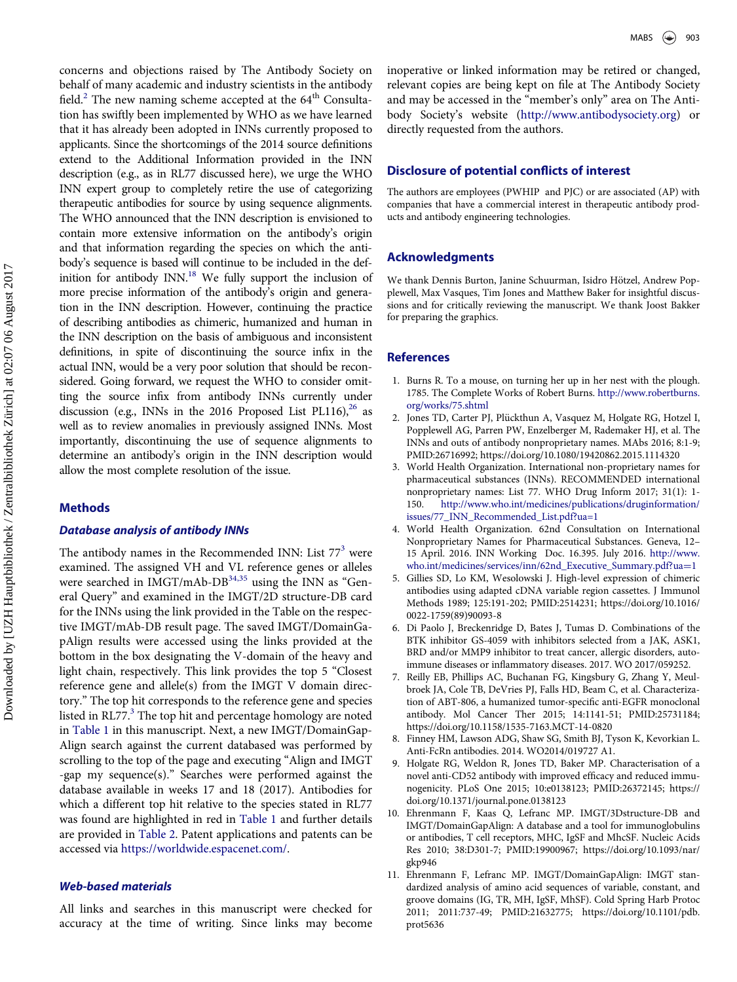concerns and objections raised by The Antibody Society on behalf of many academic and industry scientists in the antibody field.<sup>[2](#page-6-1)</sup> The new naming scheme accepted at the 64<sup>th</sup> Consultation has swiftly been implemented by WHO as we have learned that it has already been adopted in INNs currently proposed to applicants. Since the shortcomings of the 2014 source definitions extend to the Additional Information provided in the INN description (e.g., as in RL77 discussed here), we urge the WHO INN expert group to completely retire the use of categorizing therapeutic antibodies for source by using sequence alignments. The WHO announced that the INN description is envisioned to contain more extensive information on the antibody's origin and that information regarding the species on which the antibody's sequence is based will continue to be included in the definition for antibody INN.<sup>18</sup> We fully support the inclusion of more precise information of the antibody's origin and generation in the INN description. However, continuing the practice of describing antibodies as chimeric, humanized and human in the INN description on the basis of ambiguous and inconsistent definitions, in spite of discontinuing the source infix in the actual INN, would be a very poor solution that should be reconsidered. Going forward, we request the WHO to consider omitting the source infix from antibody INNs currently under discussion (e.g., INNs in the 2016 Proposed List PL116), $^{26}$  as well as to review anomalies in previously assigned INNs. Most importantly, discontinuing the use of sequence alignments to determine an antibody's origin in the INN description would allow the most complete resolution of the issue.

#### <span id="page-6-2"></span><span id="page-6-1"></span><span id="page-6-0"></span>Methods

#### <span id="page-6-8"></span>Database analysis of antibody INNs

<span id="page-6-5"></span><span id="page-6-4"></span><span id="page-6-3"></span>The antibody names in the Recommended INN: List  $77<sup>3</sup>$  $77<sup>3</sup>$  $77<sup>3</sup>$  were examined. The assigned VH and VL reference genes or alleles were searched in IMGT/mAb-DB<sup>34,35</sup> using the INN as "General Query" and examined in the IMGT/2D structure-DB card for the INNs using the link provided in the Table on the respective IMGT/mAb-DB result page. The saved IMGT/DomainGapAlign results were accessed using the links provided at the bottom in the box designating the V-domain of the heavy and light chain, respectively. This link provides the top 5 "Closest reference gene and allele(s) from the IMGT V domain directory." The top hit corresponds to the reference gene and species listed in RL77.<sup>[3](#page-6-2)</sup> The top hit and percentage homology are noted in [Table 1](#page-2-0) in this manuscript. Next, a new IMGT/DomainGap-Align search against the current databased was performed by scrolling to the top of the page and executing "Align and IMGT -gap my sequence(s)." Searches were performed against the database available in weeks 17 and 18 (2017). Antibodies for which a different top hit relative to the species stated in RL77 was found are highlighted in red in [Table 1](#page-2-0) and further details are provided in [Table 2](#page-3-0). Patent applications and patents can be accessed via <https://worldwide.espacenet.com/>.

## <span id="page-6-7"></span><span id="page-6-6"></span>Web-based materials

All links and searches in this manuscript were checked for accuracy at the time of writing. Since links may become

inoperative or linked information may be retired or changed, relevant copies are being kept on file at The Antibody Society and may be accessed in the "member's only" area on The Antibody Society's website (<http://www.antibodysociety.org>) or directly requested from the authors.

## Disclosure of potential conflicts of interest

The authors are employees (PWHIP and PJC) or are associated (AP) with companies that have a commercial interest in therapeutic antibody products and antibody engineering technologies.

#### Acknowledgments

We thank Dennis Burton, Janine Schuurman, Isidro Hötzel, Andrew Popplewell, Max Vasques, Tim Jones and Matthew Baker for insightful discussions and for critically reviewing the manuscript. We thank Joost Bakker for preparing the graphics.

#### References

- 1. Burns R. To a mouse, on turning her up in her nest with the plough. 1785. The Complete Works of Robert Burns. [http://www.robertburns.](http://www.robertburns.org/works/75.shtml) [org/works/75.shtml](http://www.robertburns.org/works/75.shtml)
- 2. Jones TD, Carter PJ, Plückthun A, Vasquez M, Holgate RG, Hotzel I, Popplewell AG, Parren PW, Enzelberger M, Rademaker HJ, et al. The INNs and outs of antibody nonproprietary names. MAbs 2016; 8:1-9; PMID:[26716992; https://doi.org/10.1080/19420862.2015.1114320](https://doi.org/10.1080/19420862.2015.1114320)
- 3. World Health Organization. International non-proprietary names for pharmaceutical substances (INNs). RECOMMENDED international nonproprietary names: List 77. WHO Drug Inform 2017; 31(1): 1- 150. [http://www.who.int/medicines/publications/druginformation/](http://www.who.int/medicines/publications/druginformation/issues/77_INN_Recommended_List.pdf?ua=1) [issues/77\\_INN\\_Recommended\\_List.pdf?ua=1](http://www.who.int/medicines/publications/druginformation/issues/77_INN_Recommended_List.pdf?ua=1)
- 4. World Health Organization. 62nd Consultation on International Nonproprietary Names for Pharmaceutical Substances. Geneva, 12– 15 April. 2016. INN Working Doc. 16.395. July 2016. [http://www.](http://www.who.int/medicines/services/inn/62nd_Executive_Summary.pdf?ua=1) [who.int/medicines/services/inn/62nd\\_Executive\\_Summary.pdf](http://www.who.int/medicines/services/inn/62nd_Executive_Summary.pdf?ua=1)?[ua](http://www.who.int/medicines/services/inn/62nd_Executive_Summary.pdf?ua=1)=[1](http://www.who.int/medicines/services/inn/62nd_Executive_Summary.pdf?ua=1)
- 5. Gillies SD, Lo KM, Wesolowski J. High-level expression of chimeric antibodies using adapted cDNA variable region cassettes. J Immunol Methods 1989; 125:191-202; PMID:[2514231; https://doi.org/10.1016/](https://doi.org/10.1016/0022-1759(89)90093-8) [0022-1759\(89\)90093-8](https://doi.org/10.1016/0022-1759(89)90093-8)
- 6. Di Paolo J, Breckenridge D, Bates J, Tumas D. Combinations of the BTK inhibitor GS-4059 with inhibitors selected from a JAK, ASK1, BRD and/or MMP9 inhibitor to treat cancer, allergic disorders, autoimmune diseases or inflammatory diseases. 2017. WO 2017/059252.
- 7. Reilly EB, Phillips AC, Buchanan FG, Kingsbury G, Zhang Y, Meulbroek JA, Cole TB, DeVries PJ, Falls HD, Beam C, et al. Characterization of ABT-806, a humanized tumor-specific anti-EGFR monoclonal antibody. Mol Cancer Ther 2015; 14:1141-51; PMID:[25731184;](https://doi.org/25731184) <https://doi.org/10.1158/1535-7163.MCT-14-0820>
- 8. Finney HM, Lawson ADG, Shaw SG, Smith BJ, Tyson K, Kevorkian L. Anti-FcRn antibodies. 2014. WO2014/019727 A1.
- 9. Holgate RG, Weldon R, Jones TD, Baker MP. Characterisation of a novel anti-CD52 antibody with improved efficacy and reduced immunogenicity. PLoS One 2015; 10:e0138123; PMID[:26372145; https://](https://doi.org/26372145) [doi.org/10.1371/journal.pone.0138123](https://doi.org/10.1371/journal.pone.0138123)
- 10. Ehrenmann F, Kaas Q, Lefranc MP. IMGT/3Dstructure-DB and IMGT/DomainGapAlign: A database and a tool for immunoglobulins or antibodies, T cell receptors, MHC, IgSF and MhcSF. Nucleic Acids Res 2010; 38:D301-7; PMID[:19900967; https://doi.org/10.1093/nar/](https://doi.org/10.1093/nar/gkp946) [gkp946](https://doi.org/10.1093/nar/gkp946)
- 11. Ehrenmann F, Lefranc MP. IMGT/DomainGapAlign: IMGT standardized analysis of amino acid sequences of variable, constant, and groove domains (IG, TR, MH, IgSF, MhSF). Cold Spring Harb Protoc 2011; 2011:737-49; PMID[:21632775; https://doi.org/10.1101/pdb.](https://doi.org/10.1101/pdb.prot5636) [prot5636](https://doi.org/10.1101/pdb.prot5636)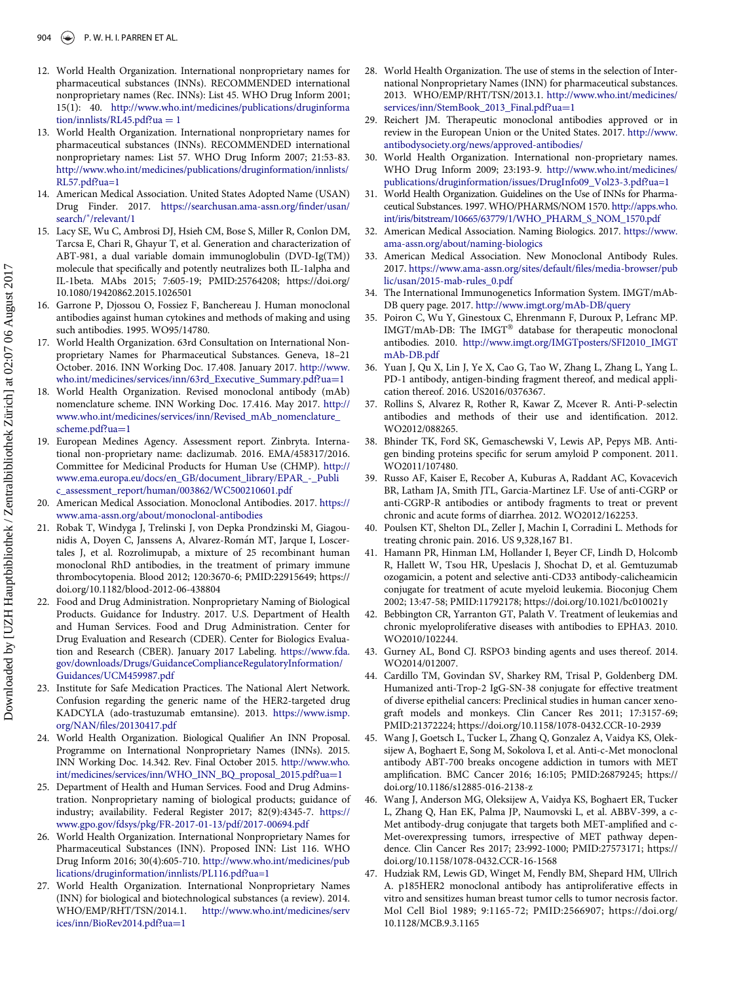- <span id="page-7-28"></span><span id="page-7-14"></span>12. World Health Organization. International nonproprietary names for pharmaceutical substances (INNs). RECOMMENDED international nonproprietary names (Rec. INNs): List 45. WHO Drug Inform 2001; 15(1): 40. [http://www.who.int/medicines/publications/druginforma](http://www.who.int/medicines/publications/druginformation/innlists/RL45.pdf?ua=1)  $tion/innlists/RL45.pdf?ua = 1$  $tion/innlists/RL45.pdf?ua = 1$  $tion/innlists/RL45.pdf?ua = 1$
- <span id="page-7-27"></span><span id="page-7-26"></span><span id="page-7-15"></span>13. World Health Organization. International nonproprietary names for pharmaceutical substances (INNs). RECOMMENDED international nonproprietary names: List 57. WHO Drug Inform 2007; 21:53-83. [http://www.who.int/medicines/publications/druginformation/innlists/](http://www.who.int/medicines/publications/druginformation/innlists/RL57.pdf?ua=1) [RL57.pdf?ua=1](http://www.who.int/medicines/publications/druginformation/innlists/RL57.pdf?ua=1)
- <span id="page-7-16"></span>14. American Medical Association. United States Adopted Name (USAN) Drug Finder. 2017. [https://searchusan.ama-assn.org/](https://searchusan.ama-assn.org/finder/usan/search/*/relevant/1)finder/usan/ [search/](https://searchusan.ama-assn.org/finder/usan/search/*/relevant/1)\*[/relevant/1](https://searchusan.ama-assn.org/finder/usan/search/*/relevant/1)
- <span id="page-7-29"></span><span id="page-7-8"></span>15. Lacy SE, Wu C, Ambrosi DJ, Hsieh CM, Bose S, Miller R, Conlon DM, Tarcsa E, Chari R, Ghayur T, et al. Generation and characterization of ABT-981, a dual variable domain immunoglobulin (DVD-Ig(TM)) molecule that specifically and potently neutralizes both IL-1alpha and IL-1beta. MAbs 2015; 7:605-19; PMID[:25764208; https://doi.org/](https://doi.org/25764208) [10.1080/19420862.2015.1026501](https://doi.org/10.1080/19420862.2015.1026501)
- <span id="page-7-25"></span><span id="page-7-9"></span>16. Garrone P, Djossou O, Fossiez F, Banchereau J. Human monoclonal antibodies against human cytokines and methods of making and using such antibodies. 1995. WO95/14780.
- <span id="page-7-17"></span><span id="page-7-0"></span>World Health Organization. 63rd Consultation on International Nonproprietary Names for Pharmaceutical Substances. Geneva, 18–21 October. 2016. INN Working Doc. 17.408. January 2017. [http://www.](http://www.who.int/medicines/services/inn/63rd_Executive_Summary.pdf?ua=1) [who.int/medicines/services/inn/63rd\\_Executive\\_Summary.pdf?ua](http://www.who.int/medicines/services/inn/63rd_Executive_Summary.pdf?ua=1)=[1](http://www.who.int/medicines/services/inn/63rd_Executive_Summary.pdf?ua=1)
- <span id="page-7-18"></span><span id="page-7-1"></span>18. World Health Organization. Revised monoclonal antibody (mAb) nomenclature scheme. INN Working Doc. 17.416. May 2017. [http://](http://www.who.int/medicines/services/inn/Revised_mAb_nomenclature_scheme.pdf?ua=1) [www.who.int/medicines/services/inn/Revised\\_mAb\\_nomenclature\\_](http://www.who.int/medicines/services/inn/Revised_mAb_nomenclature_scheme.pdf?ua=1) [scheme.pdf?ua](http://www.who.int/medicines/services/inn/Revised_mAb_nomenclature_scheme.pdf?ua=1)=[1](http://www.who.int/medicines/services/inn/Revised_mAb_nomenclature_scheme.pdf?ua=1)
- <span id="page-7-3"></span><span id="page-7-2"></span>19. European Medines Agency. Assessment report. Zinbryta. International non-proprietary name: daclizumab. 2016. EMA/458317/2016. Committee for Medicinal Products for Human Use (CHMP). [http://](http://www.ema.europa.eu/docs/en_GB/document_library/EPAR_-_Public_assessment_report/human/003862/WC500210601.pdf) [www.ema.europa.eu/docs/en\\_GB/document\\_library/EPAR\\_-\\_Publi](http://www.ema.europa.eu/docs/en_GB/document_library/EPAR_-_Public_assessment_report/human/003862/WC500210601.pdf) [c\\_assessment\\_report/human/003862/WC500210601.pdf](http://www.ema.europa.eu/docs/en_GB/document_library/EPAR_-_Public_assessment_report/human/003862/WC500210601.pdf)
- <span id="page-7-19"></span><span id="page-7-4"></span>20. American Medical Association. Monoclonal Antibodies. 2017. [https://](https://www.ama-assn.org/about/monoclonal-antibodies) [www.ama-assn.org/about/monoclonal-antibodies](https://www.ama-assn.org/about/monoclonal-antibodies)
- <span id="page-7-20"></span><span id="page-7-6"></span><span id="page-7-5"></span>21. Robak T, Windyga J, Trelinski J, von Depka Prondzinski M, Giagounidis A, Doyen C, Janssens A, Alvarez-Román MT, Jarque I, Loscertales J, et al. Rozrolimupab, a mixture of 25 recombinant human monoclonal RhD antibodies, in the treatment of primary immune thrombocytopenia. Blood 2012; 120:3670-6; PMID:[22915649; https://](https://doi.org/22915649) [doi.org/10.1182/blood-2012-06-438804](https://doi.org/10.1182/blood-2012-06-438804)
- <span id="page-7-21"></span><span id="page-7-7"></span>22. Food and Drug Administration. Nonproprietary Naming of Biological Products. Guidance for Industry. 2017. U.S. Department of Health and Human Services. Food and Drug Administration. Center for Drug Evaluation and Research (CDER). Center for Biologics Evaluation and Research (CBER). January 2017 Labeling. [https://www.fda.](https://www.fda.gov/downloads/Drugs/GuidanceComplianceRegulatoryInformation/Guidances/UCM459987.pdf) [gov/downloads/Drugs/GuidanceComplianceRegulatoryInformation/](https://www.fda.gov/downloads/Drugs/GuidanceComplianceRegulatoryInformation/Guidances/UCM459987.pdf) [Guidances/UCM459987.pdf](https://www.fda.gov/downloads/Drugs/GuidanceComplianceRegulatoryInformation/Guidances/UCM459987.pdf)
- <span id="page-7-11"></span><span id="page-7-10"></span>23. Institute for Safe Medication Practices. The National Alert Network. Confusion regarding the generic name of the HER2-targeted drug KADCYLA (ado-trastuzumab emtansine). 2013. [https://www.ismp.](https://www.ismp.org/NAN/files/20130417.pdf) org/NAN/fi[les/20130417.pdf](https://www.ismp.org/NAN/files/20130417.pdf)
- <span id="page-7-22"></span><span id="page-7-12"></span>24. World Health Organization. Biological Qualifier An INN Proposal. Programme on International Nonproprietary Names (INNs). 2015. INN Working Doc. 14.342. Rev. Final October 2015. [http://www.who.](http://www.who.int/medicines/services/inn/WHO_INN_BQ_proposal_2015.pdf?ua=1) [int/medicines/services/inn/WHO\\_INN\\_BQ\\_proposal\\_2015.pdf?ua](http://www.who.int/medicines/services/inn/WHO_INN_BQ_proposal_2015.pdf?ua=1)=[1](http://www.who.int/medicines/services/inn/WHO_INN_BQ_proposal_2015.pdf?ua=1)
- 25. Department of Health and Human Services. Food and Drug Adminstration. Nonproprietary naming of biological products; guidance of industry; availability. Federal Register 2017; 82(9):4345-7. [https://](https://www.gpo.gov/fdsys/pkg/FR-2017-01-13/pdf/2017-00694.pdf) [www.gpo.gov/fdsys/pkg/FR-2017-01-13/pdf/2017-00694.pdf](https://www.gpo.gov/fdsys/pkg/FR-2017-01-13/pdf/2017-00694.pdf)
- <span id="page-7-24"></span>26. World Health Organization. International Nonproprietary Names for Pharmaceutical Substances (INN). Proposed INN: List 116. WHO Drug Inform 2016; 30(4):605-710. [http://www.who.int/medicines/pub](http://www.who.int/medicines/publications/druginformation/innlists/PL116.pdf?ua=1) [lications/druginformation/innlists/PL116.pdf?ua=1](http://www.who.int/medicines/publications/druginformation/innlists/PL116.pdf?ua=1)
- <span id="page-7-23"></span><span id="page-7-13"></span>27. World Health Organization. International Nonproprietary Names (INN) for biological and biotechnological substances (a review). 2014. WHO/EMP/RHT/TSN/2014.1. [http://www.who.int/medicines/serv](http://www.who.int/medicines/services/inn/BioRev2014.pdf?ua=1) [ices/inn/BioRev2014.pdf?ua](http://www.who.int/medicines/services/inn/BioRev2014.pdf?ua=1)=[1](http://www.who.int/medicines/services/inn/BioRev2014.pdf?ua=1)
- 28. World Health Organization. The use of stems in the selection of International Nonproprietary Names (INN) for pharmaceutical substances. 2013. WHO/EMP/RHT/TSN/2013.1. [http://www.who.int/medicines/](http://www.who.int/medicines/services/inn/StemBook_2013_Final.pdf?ua=1) [services/inn/StemBook\\_2013\\_Final.pdf?ua](http://www.who.int/medicines/services/inn/StemBook_2013_Final.pdf?ua=1)=[1](http://www.who.int/medicines/services/inn/StemBook_2013_Final.pdf?ua=1)
- 29. Reichert JM. Therapeutic monoclonal antibodies approved or in review in the European Union or the United States. 2017. [http://www.](http://www.antibodysociety.org/news/approved-antibodies/) [antibodysociety.org/news/approved-antibodies/](http://www.antibodysociety.org/news/approved-antibodies/)
- 30. World Health Organization. International non-proprietary names. WHO Drug Inform 2009; 23:193-9. [http://www.who.int/medicines/](http://www.who.int/medicines/publications/druginformation/issues/DrugInfo09_Vol23-3.pdf?ua=1) [publications/druginformation/issues/DrugInfo09\\_Vol23-3.pdf?ua=1](http://www.who.int/medicines/publications/druginformation/issues/DrugInfo09_Vol23-3.pdf?ua=1)
- 31. World Health Organization. Guidelines on the Use of INNs for Pharmaceutical Substances. 1997. WHO/PHARMS/NOM 1570. [http://apps.who.](http://apps.who.int/iris/bitstream/10665/63779/1/WHO_PHARM_S_NOM_1570.pdf) [int/iris/bitstream/10665/63779/1/WHO\\_PHARM\\_S\\_NOM\\_1570.pdf](http://apps.who.int/iris/bitstream/10665/63779/1/WHO_PHARM_S_NOM_1570.pdf)
- 32. American Medical Association. Naming Biologics. 2017. [https://www.](https://www.ama-assn.org/about/naming-biologics) [ama-assn.org/about/naming-biologics](https://www.ama-assn.org/about/naming-biologics)
- 33. American Medical Association. New Monoclonal Antibody Rules. 2017. [https://www.ama-assn.org/sites/default/](https://www.ama-assn.org/sites/default/files/media-browser/public/usan/2015-mab-rules_0.pdf)files/media-browser/pub [lic/usan/2015-mab-rules\\_0.pdf](https://www.ama-assn.org/sites/default/files/media-browser/public/usan/2015-mab-rules_0.pdf)
- The International Immunogenetics Information System. IMGT/mAb-DB query page. 2017. <http://www.imgt.org/mAb-DB/query>
- 35. Poiron C, Wu Y, Ginestoux C, Ehrenmann F, Duroux P, Lefranc MP. IMGT/mAb-DB: The IMGT® database for therapeutic monoclonal antibodies. 2010. [http://www.imgt.org/IMGTposters/SFI2010\\_IMGT](http://www.imgt.org/IMGTposters/SFI2010_IMGTmAb-DB.pdf) [mAb-DB.pdf](http://www.imgt.org/IMGTposters/SFI2010_IMGTmAb-DB.pdf)
- 36. Yuan J, Qu X, Lin J, Ye X, Cao G, Tao W, Zhang L, Zhang L, Yang L. PD-1 antibody, antigen-binding fragment thereof, and medical application thereof. 2016. US2016/0376367.
- 37. Rollins S, Alvarez R, Rother R, Kawar Z, Mcever R. Anti-P-selectin antibodies and methods of their use and identification. 2012. WO2012/088265.
- 38. Bhinder TK, Ford SK, Gemaschewski V, Lewis AP, Pepys MB. Antigen binding proteins specific for serum amyloid P component. 2011. WO2011/107480.
- 39. Russo AF, Kaiser E, Recober A, Kuburas A, Raddant AC, Kovacevich BR, Latham JA, Smith JTL, Garcia-Martinez LF. Use of anti-CGRP or anti-CGRP-R antibodies or antibody fragments to treat or prevent chronic and acute forms of diarrhea. 2012. WO2012/162253.
- 40. Poulsen KT, Shelton DL, Zeller J, Machin I, Corradini L. Methods for treating chronic pain. 2016. US 9,328,167 B1.
- 41. Hamann PR, Hinman LM, Hollander I, Beyer CF, Lindh D, Holcomb R, Hallett W, Tsou HR, Upeslacis J, Shochat D, et al. Gemtuzumab ozogamicin, a potent and selective anti-CD33 antibody-calicheamicin conjugate for treatment of acute myeloid leukemia. Bioconjug Chem 2002; 13:47-58; PMID:[11792178; https://doi.org/10.1021/bc010021y](https://doi.org/10.1021/bc010021y)
- 42. Bebbington CR, Yarranton GT, Palath V. Treatment of leukemias and chronic myeloproliferative diseases with antibodies to EPHA3. 2010. WO2010/102244.
- 43. Gurney AL, Bond CJ. RSPO3 binding agents and uses thereof. 2014. WO2014/012007.
- 44. Cardillo TM, Govindan SV, Sharkey RM, Trisal P, Goldenberg DM. Humanized anti-Trop-2 IgG-SN-38 conjugate for effective treatment of diverse epithelial cancers: Preclinical studies in human cancer xenograft models and monkeys. Clin Cancer Res 2011; 17:3157-69; PMID:[21372224; https://doi.org/10.1158/1078-0432.CCR-10-2939](https://doi.org/10.1158/1078-0432.CCR-10-2939)
- 45. Wang J, Goetsch L, Tucker L, Zhang Q, Gonzalez A, Vaidya KS, Oleksijew A, Boghaert E, Song M, Sokolova I, et al. Anti-c-Met monoclonal antibody ABT-700 breaks oncogene addiction in tumors with MET amplification. BMC Cancer 2016; 16:105; PMID[:26879245; https://](https://doi.org/26879245) [doi.org/10.1186/s12885-016-2138-z](https://doi.org/10.1186/s12885-016-2138-z)
- 46. Wang J, Anderson MG, Oleksijew A, Vaidya KS, Boghaert ER, Tucker L, Zhang Q, Han EK, Palma JP, Naumovski L, et al. ABBV-399, a c-Met antibody-drug conjugate that targets both MET-amplified and c-Met-overexpressing tumors, irrespective of MET pathway dependence. Clin Cancer Res 2017; 23:992-1000; PMID[:27573171; https://](https://doi.org/27573171) [doi.org/10.1158/1078-0432.CCR-16-1568](https://doi.org/10.1158/1078-0432.CCR-16-1568)
- 47. Hudziak RM, Lewis GD, Winget M, Fendly BM, Shepard HM, Ullrich A. p185HER2 monoclonal antibody has antiproliferative effects in vitro and sensitizes human breast tumor cells to tumor necrosis factor. Mol Cell Biol 1989; 9:1165-72; PMID[:2566907; https://doi.org/](https://doi.org/2566907) [10.1128/MCB.9.3.1165](https://doi.org/10.1128/MCB.9.3.1165)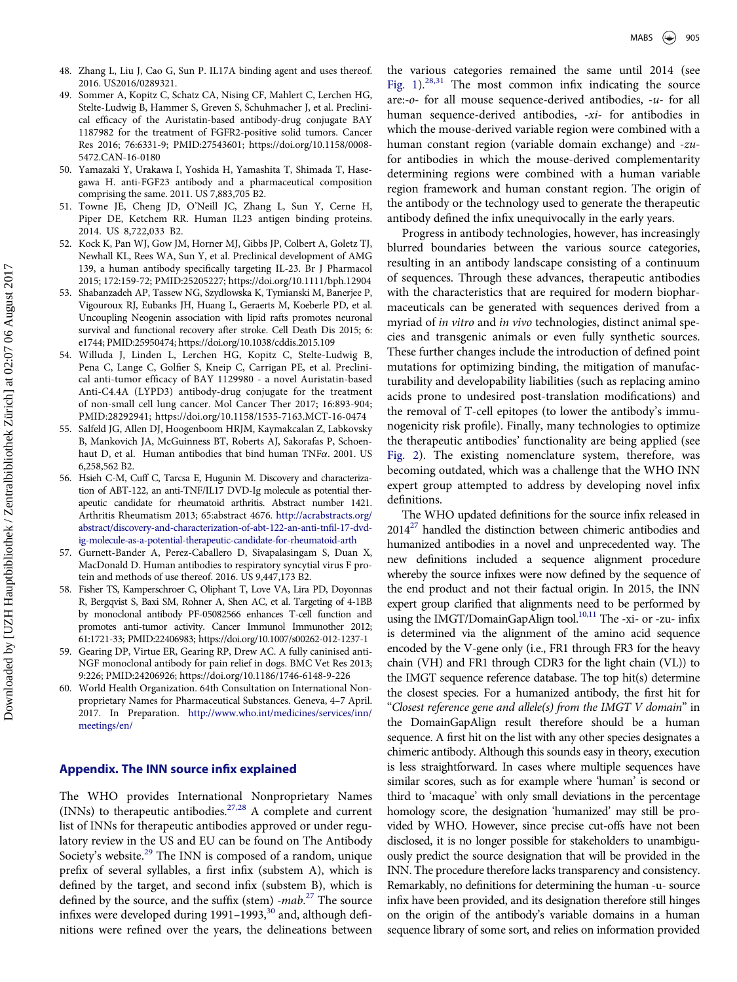- <span id="page-8-0"></span>48. Zhang L, Liu J, Cao G, Sun P. IL17A binding agent and uses thereof. 2016. US2016/0289321.
- <span id="page-8-1"></span>49. Sommer A, Kopitz C, Schatz CA, Nising CF, Mahlert C, Lerchen HG, Stelte-Ludwig B, Hammer S, Greven S, Schuhmacher J, et al. Preclinical efficacy of the Auristatin-based antibody-drug conjugate BAY 1187982 for the treatment of FGFR2-positive solid tumors. Cancer Res 2016; 76:6331-9; PMID:[27543601; https://doi.org/10.1158/0008-](https://doi.org/10.1158/0008-5472.CAN-16-0180) [5472.CAN-16-0180](https://doi.org/10.1158/0008-5472.CAN-16-0180)
- <span id="page-8-2"></span>50. Yamazaki Y, Urakawa I, Yoshida H, Yamashita T, Shimada T, Hasegawa H. anti-FGF23 antibody and a pharmaceutical composition comprising the same. 2011. US 7,883,705 B2.
- <span id="page-8-3"></span>51. Towne JE, Cheng JD, O'Neill JC, Zhang L, Sun Y, Cerne H, Piper DE, Ketchem RR. Human IL23 antigen binding proteins. 2014. US 8,722,033 B2.
- 52. Kock K, Pan WJ, Gow JM, Horner MJ, Gibbs JP, Colbert A, Goletz TJ, Newhall KL, Rees WA, Sun Y, et al. Preclinical development of AMG 139, a human antibody specifically targeting IL-23. Br J Pharmacol 2015; 172:159-72; PMID:[25205227; https://doi.org/10.1111/bph.12904](https://doi.org/10.1111/bph.12904)
- <span id="page-8-4"></span>53. Shabanzadeh AP, Tassew NG, Szydlowska K, Tymianski M, Banerjee P, Vigouroux RJ, Eubanks JH, Huang L, Geraerts M, Koeberle PD, et al. Uncoupling Neogenin association with lipid rafts promotes neuronal survival and functional recovery after stroke. Cell Death Dis 2015; 6: e1744; PMID:[25950474; https://doi.org/10.1038/cddis.2015.109](https://doi.org/10.1038/cddis.2015.109)
- <span id="page-8-5"></span>54. Willuda J, Linden L, Lerchen HG, Kopitz C, Stelte-Ludwig B, Pena C, Lange C, Golfier S, Kneip C, Carrigan PE, et al. Preclinical anti-tumor efficacy of BAY 1129980 - a novel Auristatin-based Anti-C4.4A (LYPD3) antibody-drug conjugate for the treatment of non-small cell lung cancer. Mol Cancer Ther 2017; 16:893-904; PMID:[28292941; https://doi.org/10.1158/1535-7163.MCT-16-0474](https://doi.org/10.1158/1535-7163.MCT-16-0474)
- <span id="page-8-6"></span>55. Salfeld JG, Allen DJ, Hoogenboom HRJM, Kaymakcalan Z, Labkovsky B, Mankovich JA, McGuinness BT, Roberts AJ, Sakorafas P, Schoenhaut D, et al. Human antibodies that bind human  $TNF\alpha$ . 2001. US 6,258,562 B2.
- 56. Hsieh C-M, Cuff C, Tarcsa E, Hugunin M. Discovery and characterization of ABT-122, an anti-TNF/IL17 DVD-Ig molecule as potential therapeutic candidate for rheumatoid arthritis. Abstract number 1421. Arthritis Rheumatism 2013; 65:abstract 4676. [http://acrabstracts.org/](http://acrabstracts.org/abstract/discovery-and-characterization-of-abt-122-an-anti-tnfil-17-dvd-ig-molecule-as-a-potential-therapeutic-candidate-for-rheumatoid-arth) [abstract/discovery-and-characterization-of-abt-122-an-anti-tn](http://acrabstracts.org/abstract/discovery-and-characterization-of-abt-122-an-anti-tnfil-17-dvd-ig-molecule-as-a-potential-therapeutic-candidate-for-rheumatoid-arth)fil-17-dvd[ig-molecule-as-a-potential-therapeutic-candidate-for-rheumatoid-arth](http://acrabstracts.org/abstract/discovery-and-characterization-of-abt-122-an-anti-tnfil-17-dvd-ig-molecule-as-a-potential-therapeutic-candidate-for-rheumatoid-arth)
- <span id="page-8-7"></span>57. Gurnett-Bander A, Perez-Caballero D, Sivapalasingam S, Duan X, MacDonald D. Human antibodies to respiratory syncytial virus F protein and methods of use thereof. 2016. US 9,447,173 B2.
- <span id="page-8-8"></span>58. Fisher TS, Kamperschroer C, Oliphant T, Love VA, Lira PD, Doyonnas R, Bergqvist S, Baxi SM, Rohner A, Shen AC, et al. Targeting of 4-1BB by monoclonal antibody PF-05082566 enhances T-cell function and promotes anti-tumor activity. Cancer Immunol Immunother 2012; 61:1721-33; PMID[:22406983; https://doi.org/10.1007/s00262-012-1237-1](https://doi.org/10.1007/s00262-012-1237-1)
- <span id="page-8-9"></span>59. Gearing DP, Virtue ER, Gearing RP, Drew AC. A fully caninised anti-NGF monoclonal antibody for pain relief in dogs. BMC Vet Res 2013; 9:226; PMID[:24206926; https://doi.org/10.1186/1746-6148-9-226](https://doi.org/10.1186/1746-6148-9-226)
- 60. World Health Organization. 64th Consultation on International Nonproprietary Names for Pharmaceutical Substances. Geneva, 4–7 April. 2017. In Preparation. [http://www.who.int/medicines/services/inn/](http://www.who.int/medicines/services/inn/meetings/en/) [meetings/en/](http://www.who.int/medicines/services/inn/meetings/en/)

### Appendix. The INN source infix explained

The WHO provides International Nonproprietary Names (INNs) to therapeutic antibodies.[27,28](#page-7-23) A complete and current list of INNs for therapeutic antibodies approved or under regulatory review in the US and EU can be found on The Antibody Society's website.<sup>[29](#page-7-26)</sup> The INN is composed of a random, unique prefix of several syllables, a first infix (substem A), which is defined by the target, and second infix (substem B), which is defined by the source, and the suffix (stem) - $mab$ <sup>[27](#page-7-23)</sup> The source infixes were developed during  $1991-1993$ ,<sup>[30](#page-7-27)</sup> and, although definitions were refined over the years, the delineations between

the various categories remained the same until 2014 (see Fig.  $1$ ).<sup>[28,31](#page-7-28)</sup> The most common infix indicating the source are:- $o$ - for all mouse sequence-derived antibodies,  $-u$ - for all human sequence-derived antibodies, -xi- for antibodies in which the mouse-derived variable region were combined with a human constant region (variable domain exchange) and -zufor antibodies in which the mouse-derived complementarity determining regions were combined with a human variable region framework and human constant region. The origin of the antibody or the technology used to generate the therapeutic antibody defined the infix unequivocally in the early years.

Progress in antibody technologies, however, has increasingly blurred boundaries between the various source categories, resulting in an antibody landscape consisting of a continuum of sequences. Through these advances, therapeutic antibodies with the characteristics that are required for modern biopharmaceuticals can be generated with sequences derived from a myriad of *in vitro* and *in vivo* technologies, distinct animal species and transgenic animals or even fully synthetic sources. These further changes include the introduction of defined point mutations for optimizing binding, the mitigation of manufacturability and developability liabilities (such as replacing amino acids prone to undesired post-translation modifications) and the removal of T-cell epitopes (to lower the antibody's immunogenicity risk profile). Finally, many technologies to optimize the therapeutic antibodies' functionality are being applied (see [Fig. 2\)](#page-4-1). The existing nomenclature system, therefore, was becoming outdated, which was a challenge that the WHO INN expert group attempted to address by developing novel infix definitions.

The WHO updated definitions for the source infix released in  $2014^{27}$  handled the distinction between chimeric antibodies and humanized antibodies in a novel and unprecedented way. The new definitions included a sequence alignment procedure whereby the source infixes were now defined by the sequence of the end product and not their factual origin. In 2015, the INN expert group clarified that alignments need to be performed by using the IMGT/DomainGapAlign tool.<sup>10,11</sup> The -xi- or -zu- infix is determined via the alignment of the amino acid sequence encoded by the V-gene only (i.e., FR1 through FR3 for the heavy chain (VH) and FR1 through CDR3 for the light chain (VL)) to the IMGT sequence reference database. The top hit(s) determine the closest species. For a humanized antibody, the first hit for "Closest reference gene and allele(s) from the IMGT V domain" in the DomainGapAlign result therefore should be a human sequence. A first hit on the list with any other species designates a chimeric antibody. Although this sounds easy in theory, execution is less straightforward. In cases where multiple sequences have similar scores, such as for example where 'human' is second or third to 'macaque' with only small deviations in the percentage homology score, the designation 'humanized' may still be provided by WHO. However, since precise cut-offs have not been disclosed, it is no longer possible for stakeholders to unambiguously predict the source designation that will be provided in the INN. The procedure therefore lacks transparency and consistency. Remarkably, no definitions for determining the human -u- source infix have been provided, and its designation therefore still hinges on the origin of the antibody's variable domains in a human sequence library of some sort, and relies on information provided